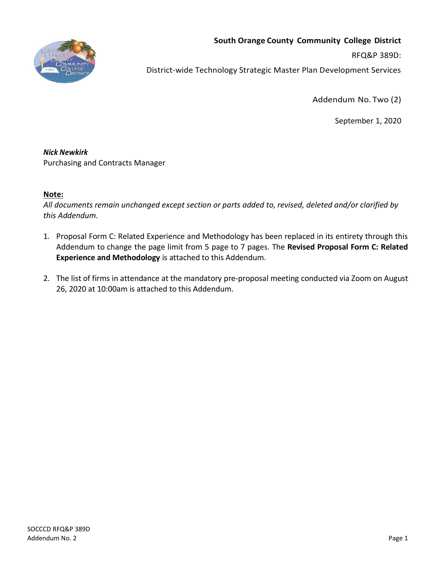

# **South Orange County Community College District**

RFQ&P 389D:

District-wide Technology Strategic Master Plan Development Services

Addendum No. Two (2)

September 1, 2020

## *Nick Newkirk*

Purchasing and Contracts Manager

## **Note:**

*All documents remain unchanged except section or parts added to, revised, deleted and/or clarified by this Addendum.*

- 1. Proposal Form C: Related Experience and Methodology has been replaced in its entirety through this Addendum to change the page limit from 5 page to 7 pages. The **Revised Proposal Form C: Related Experience and Methodology** is attached to this Addendum.
- 2. The list of firms in attendance at the mandatory pre-proposal meeting conducted via Zoom on August 26, 2020 at 10:00am is attached to this Addendum.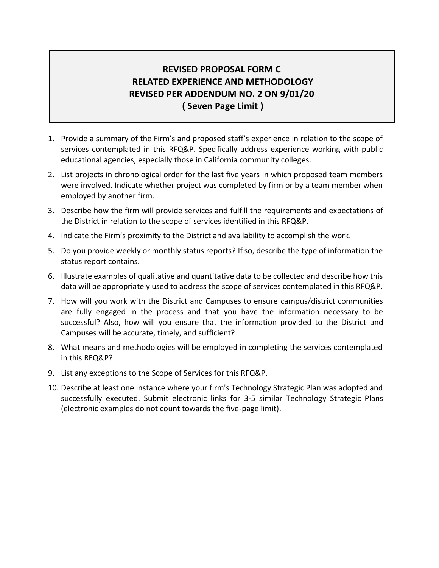# **REVISED PROPOSAL FORM C RELATED EXPERIENCE AND METHODOLOGY REVISED PER ADDENDUM NO. 2 ON 9/01/20 ( Seven Page Limit )**

- 1. Provide a summary of the Firm's and proposed staff's experience in relation to the scope of services contemplated in this RFQ&P. Specifically address experience working with public educational agencies, especially those in California community colleges.
- 2. List projects in chronological order for the last five years in which proposed team members were involved. Indicate whether project was completed by firm or by a team member when employed by another firm.
- 3. Describe how the firm will provide services and fulfill the requirements and expectations of the District in relation to the scope of services identified in this RFQ&P.
- 4. Indicate the Firm's proximity to the District and availability to accomplish the work.
- 5. Do you provide weekly or monthly status reports? If so, describe the type of information the status report contains.
- 6. Illustrate examples of qualitative and quantitative data to be collected and describe how this data will be appropriately used to address the scope of services contemplated in this RFQ&P.
- 7. How will you work with the District and Campuses to ensure campus/district communities are fully engaged in the process and that you have the information necessary to be successful? Also, how will you ensure that the information provided to the District and Campuses will be accurate, timely, and sufficient?
- 8. What means and methodologies will be employed in completing the services contemplated in this RFQ&P?
- 9. List any exceptions to the Scope of Services for this RFQ&P.
- 10. Describe at least one instance where your firm's Technology Strategic Plan was adopted and successfully executed. Submit electronic links for 3-5 similar Technology Strategic Plans (electronic examples do not count towards the five-page limit).